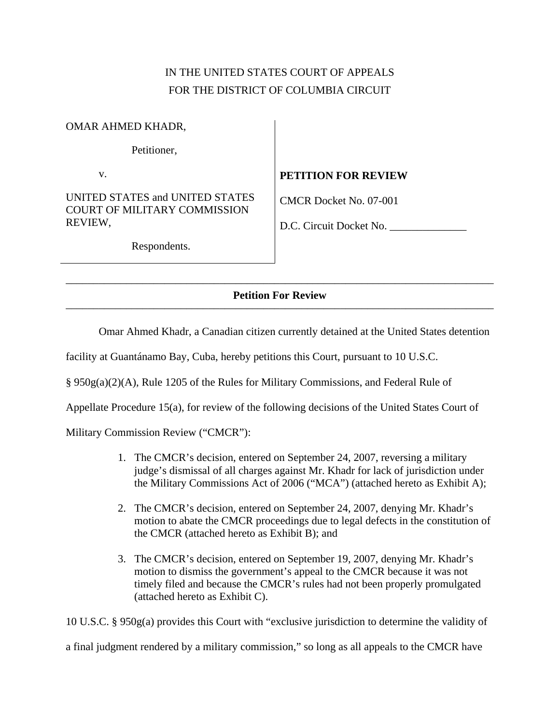# IN THE UNITED STATES COURT OF APPEALS FOR THE DISTRICT OF COLUMBIA CIRCUIT

## OMAR AHMED KHADR,

Petitioner,

v.

UNITED STATES and UNITED STATES COURT OF MILITARY COMMISSION REVIEW,

## **PETITION FOR REVIEW**

CMCR Docket No. 07-001

D.C. Circuit Docket No. \_\_\_\_\_\_\_\_\_\_\_\_\_\_

Respondents.

### –––––––––––––––––––––––––––––––––––––––––––––––––––––––––––––––––––––––––––––– **Petition For Review**  ––––––––––––––––––––––––––––––––––––––––––––––––––––––––––––––––––––––––––––––

Omar Ahmed Khadr, a Canadian citizen currently detained at the United States detention

facility at Guantánamo Bay, Cuba, hereby petitions this Court, pursuant to 10 U.S.C.

§ 950g(a)(2)(A), Rule 1205 of the Rules for Military Commissions, and Federal Rule of

Appellate Procedure 15(a), for review of the following decisions of the United States Court of

Military Commission Review ("CMCR"):

- 1. The CMCR's decision, entered on September 24, 2007, reversing a military judge's dismissal of all charges against Mr. Khadr for lack of jurisdiction under the Military Commissions Act of 2006 ("MCA") (attached hereto as Exhibit A);
- 2. The CMCR's decision, entered on September 24, 2007, denying Mr. Khadr's motion to abate the CMCR proceedings due to legal defects in the constitution of the CMCR (attached hereto as Exhibit B); and
- 3. The CMCR's decision, entered on September 19, 2007, denying Mr. Khadr's motion to dismiss the government's appeal to the CMCR because it was not timely filed and because the CMCR's rules had not been properly promulgated (attached hereto as Exhibit C).

10 U.S.C. § 950g(a) provides this Court with "exclusive jurisdiction to determine the validity of

a final judgment rendered by a military commission," so long as all appeals to the CMCR have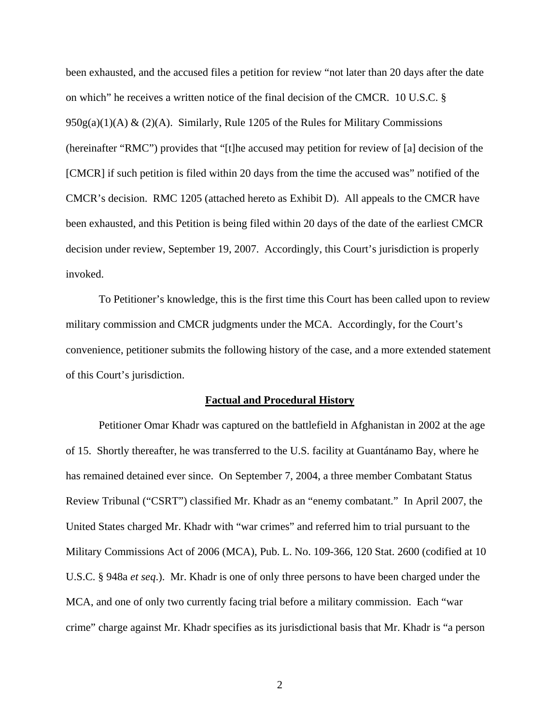been exhausted, and the accused files a petition for review "not later than 20 days after the date on which" he receives a written notice of the final decision of the CMCR. 10 U.S.C. §  $950g(a)(1)(A) & (2)(A)$ . Similarly, Rule 1205 of the Rules for Military Commissions (hereinafter "RMC") provides that "[t]he accused may petition for review of [a] decision of the [CMCR] if such petition is filed within 20 days from the time the accused was" notified of the CMCR's decision. RMC 1205 (attached hereto as Exhibit D). All appeals to the CMCR have been exhausted, and this Petition is being filed within 20 days of the date of the earliest CMCR decision under review, September 19, 2007. Accordingly, this Court's jurisdiction is properly invoked.

 To Petitioner's knowledge, this is the first time this Court has been called upon to review military commission and CMCR judgments under the MCA. Accordingly, for the Court's convenience, petitioner submits the following history of the case, and a more extended statement of this Court's jurisdiction.

#### **Factual and Procedural History**

Petitioner Omar Khadr was captured on the battlefield in Afghanistan in 2002 at the age of 15. Shortly thereafter, he was transferred to the U.S. facility at Guantánamo Bay, where he has remained detained ever since. On September 7, 2004, a three member Combatant Status Review Tribunal ("CSRT") classified Mr. Khadr as an "enemy combatant." In April 2007, the United States charged Mr. Khadr with "war crimes" and referred him to trial pursuant to the Military Commissions Act of 2006 (MCA), Pub. L. No. 109-366, 120 Stat. 2600 (codified at 10 U.S.C. § 948a *et seq*.). Mr. Khadr is one of only three persons to have been charged under the MCA, and one of only two currently facing trial before a military commission. Each "war crime" charge against Mr. Khadr specifies as its jurisdictional basis that Mr. Khadr is "a person

2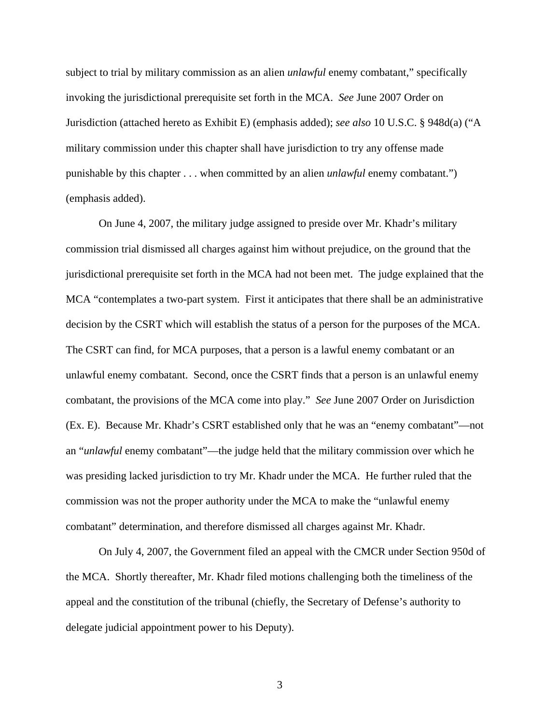subject to trial by military commission as an alien *unlawful* enemy combatant," specifically invoking the jurisdictional prerequisite set forth in the MCA. *See* June 2007 Order on Jurisdiction (attached hereto as Exhibit E) (emphasis added); *see also* 10 U.S.C. § 948d(a) ("A military commission under this chapter shall have jurisdiction to try any offense made punishable by this chapter . . . when committed by an alien *unlawful* enemy combatant.") (emphasis added).

On June 4, 2007, the military judge assigned to preside over Mr. Khadr's military commission trial dismissed all charges against him without prejudice, on the ground that the jurisdictional prerequisite set forth in the MCA had not been met. The judge explained that the MCA "contemplates a two-part system. First it anticipates that there shall be an administrative decision by the CSRT which will establish the status of a person for the purposes of the MCA. The CSRT can find, for MCA purposes, that a person is a lawful enemy combatant or an unlawful enemy combatant. Second, once the CSRT finds that a person is an unlawful enemy combatant, the provisions of the MCA come into play." *See* June 2007 Order on Jurisdiction (Ex. E). Because Mr. Khadr's CSRT established only that he was an "enemy combatant"—not an "*unlawful* enemy combatant"—the judge held that the military commission over which he was presiding lacked jurisdiction to try Mr. Khadr under the MCA. He further ruled that the commission was not the proper authority under the MCA to make the "unlawful enemy combatant" determination, and therefore dismissed all charges against Mr. Khadr.

On July 4, 2007, the Government filed an appeal with the CMCR under Section 950d of the MCA. Shortly thereafter, Mr. Khadr filed motions challenging both the timeliness of the appeal and the constitution of the tribunal (chiefly, the Secretary of Defense's authority to delegate judicial appointment power to his Deputy).

3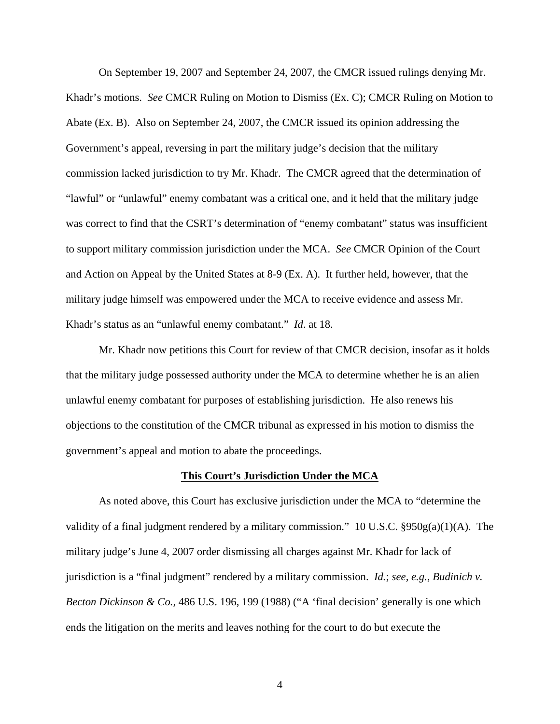On September 19, 2007 and September 24, 2007, the CMCR issued rulings denying Mr. Khadr's motions. *See* CMCR Ruling on Motion to Dismiss (Ex. C); CMCR Ruling on Motion to Abate (Ex. B). Also on September 24, 2007, the CMCR issued its opinion addressing the Government's appeal, reversing in part the military judge's decision that the military commission lacked jurisdiction to try Mr. Khadr. The CMCR agreed that the determination of "lawful" or "unlawful" enemy combatant was a critical one, and it held that the military judge was correct to find that the CSRT's determination of "enemy combatant" status was insufficient to support military commission jurisdiction under the MCA. *See* CMCR Opinion of the Court and Action on Appeal by the United States at 8-9 (Ex. A). It further held, however, that the military judge himself was empowered under the MCA to receive evidence and assess Mr. Khadr's status as an "unlawful enemy combatant." *Id*. at 18.

Mr. Khadr now petitions this Court for review of that CMCR decision, insofar as it holds that the military judge possessed authority under the MCA to determine whether he is an alien unlawful enemy combatant for purposes of establishing jurisdiction. He also renews his objections to the constitution of the CMCR tribunal as expressed in his motion to dismiss the government's appeal and motion to abate the proceedings.

#### **This Court's Jurisdiction Under the MCA**

As noted above, this Court has exclusive jurisdiction under the MCA to "determine the validity of a final judgment rendered by a military commission." 10 U.S.C.  $\S 950g(a)(1)(A)$ . The military judge's June 4, 2007 order dismissing all charges against Mr. Khadr for lack of jurisdiction is a "final judgment" rendered by a military commission. *Id.*; *see, e.g.*, *Budinich v. Becton Dickinson & Co.,* 486 U.S. 196, 199 (1988) ("A 'final decision' generally is one which ends the litigation on the merits and leaves nothing for the court to do but execute the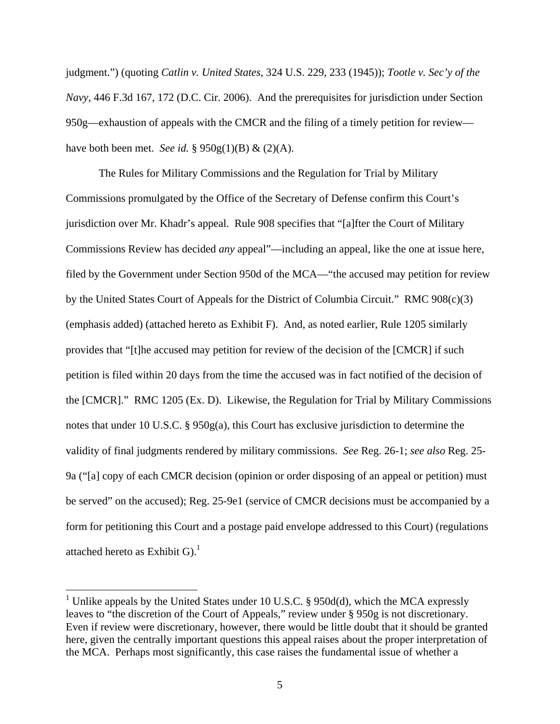judgment.") (quoting *Catlin v. United States*, 324 U.S. 229, 233 (1945)); *Tootle v. Sec'y of the Navy,* 446 F.3d 167, 172 (D.C. Cir. 2006). And the prerequisites for jurisdiction under Section 950g—exhaustion of appeals with the CMCR and the filing of a timely petition for review have both been met. *See id.* § 950g(1)(B) & (2)(A).

The Rules for Military Commissions and the Regulation for Trial by Military Commissions promulgated by the Office of the Secretary of Defense confirm this Court's jurisdiction over Mr. Khadr's appeal. Rule 908 specifies that "[a]fter the Court of Military Commissions Review has decided *any* appeal"—including an appeal, like the one at issue here, filed by the Government under Section 950d of the MCA—"the accused may petition for review by the United States Court of Appeals for the District of Columbia Circuit." RMC 908(c)(3) (emphasis added) (attached hereto as Exhibit F). And, as noted earlier, Rule 1205 similarly provides that "[t]he accused may petition for review of the decision of the [CMCR] if such petition is filed within 20 days from the time the accused was in fact notified of the decision of the [CMCR]." RMC 1205 (Ex. D). Likewise, the Regulation for Trial by Military Commissions notes that under 10 U.S.C. § 950g(a), this Court has exclusive jurisdiction to determine the validity of final judgments rendered by military commissions. *See* Reg. 26-1; *see also* Reg. 25- 9a ("[a] copy of each CMCR decision (opinion or order disposing of an appeal or petition) must be served" on the accused); Reg. 25-9e1 (service of CMCR decisions must be accompanied by a form for petitioning this Court and a postage paid envelope addressed to this Court) (regulations attached hereto as Exhibit G). $^1$ 

 $\overline{a}$ 

<sup>&</sup>lt;sup>1</sup> Unlike appeals by the United States under 10 U.S.C. § 950d(d), which the MCA expressly leaves to "the discretion of the Court of Appeals," review under § 950g is not discretionary. Even if review were discretionary, however, there would be little doubt that it should be granted here, given the centrally important questions this appeal raises about the proper interpretation of the MCA. Perhaps most significantly, this case raises the fundamental issue of whether a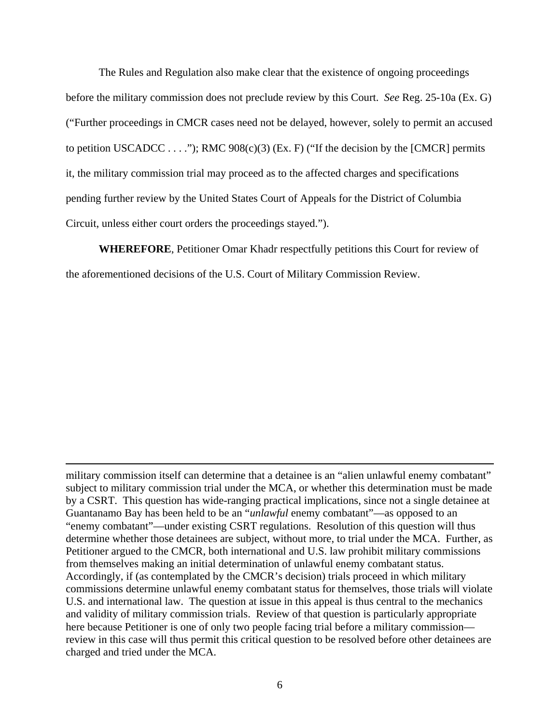The Rules and Regulation also make clear that the existence of ongoing proceedings before the military commission does not preclude review by this Court. *See* Reg. 25-10a (Ex. G) ("Further proceedings in CMCR cases need not be delayed, however, solely to permit an accused to petition USCADCC  $\dots$ ."); RMC 908(c)(3) (Ex. F) ("If the decision by the [CMCR] permits it, the military commission trial may proceed as to the affected charges and specifications pending further review by the United States Court of Appeals for the District of Columbia Circuit, unless either court orders the proceedings stayed.").

**WHEREFORE**, Petitioner Omar Khadr respectfully petitions this Court for review of the aforementioned decisions of the U.S. Court of Military Commission Review.

military commission itself can determine that a detainee is an "alien unlawful enemy combatant" subject to military commission trial under the MCA, or whether this determination must be made by a CSRT. This question has wide-ranging practical implications, since not a single detainee at Guantanamo Bay has been held to be an "*unlawful* enemy combatant"—as opposed to an "enemy combatant"—under existing CSRT regulations. Resolution of this question will thus determine whether those detainees are subject, without more, to trial under the MCA. Further, as Petitioner argued to the CMCR, both international and U.S. law prohibit military commissions from themselves making an initial determination of unlawful enemy combatant status. Accordingly, if (as contemplated by the CMCR's decision) trials proceed in which military commissions determine unlawful enemy combatant status for themselves, those trials will violate U.S. and international law. The question at issue in this appeal is thus central to the mechanics and validity of military commission trials. Review of that question is particularly appropriate here because Petitioner is one of only two people facing trial before a military commission review in this case will thus permit this critical question to be resolved before other detainees are charged and tried under the MCA.

 $\overline{a}$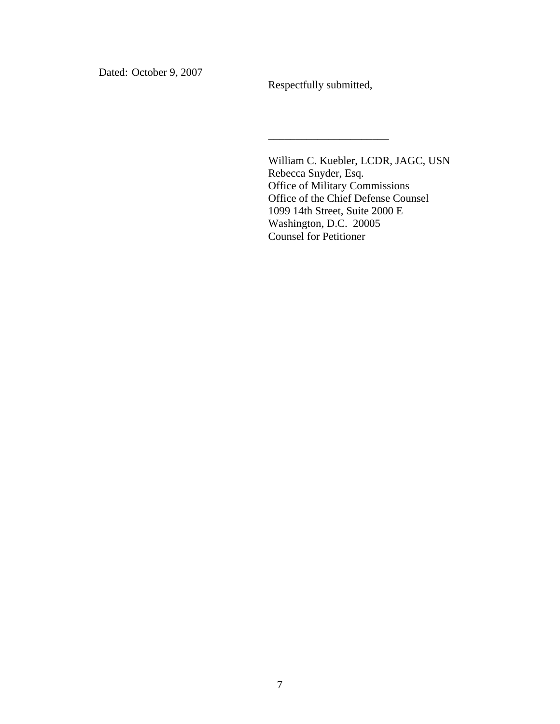Dated: October 9, 2007

Respectfully submitted,

\_\_\_\_\_\_\_\_\_\_\_\_\_\_\_\_\_\_\_\_\_\_

William C. Kuebler, LCDR, JAGC, USN Rebecca Snyder, Esq. Office of Military Commissions Office of the Chief Defense Counsel 1099 14th Street, Suite 2000 E Washington, D.C. 20005 Counsel for Petitioner